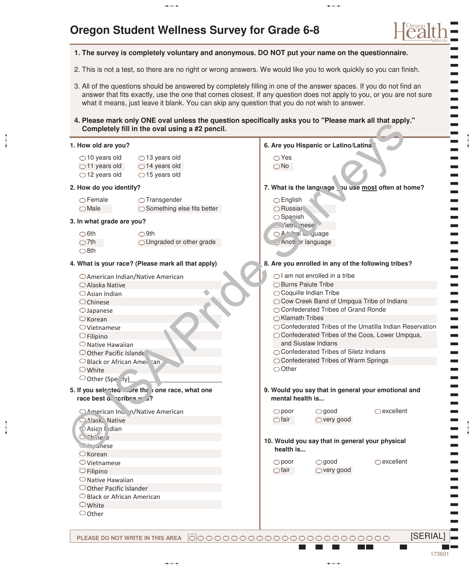# **Oregon Student Wellness Survey for Grade 6-8**

### **1. The survey is completely voluntary and anonymous. DO NOT put your name on the questionnaire.**

2. This is not a test, so there are no right or wrong answers. We would like you to work quickly so you can finish.

3. All of the questions should be answered by completely filling in one of the answer spaces. If you do not find an answer that fits exactly, use the one that comes closest. If any question does not apply to you, or you are not sure what it means, just leave it blank. You can skip any question that you do not wish to answer.

aabaada aabaada aabaada aabaada aabaada aabaada aabaada aabaada aabaada aabaada aabaada aabaada aabaada aabaad<br>aabaada aabaada aabaada aabaada aabaada aabaada aabaada aabaada aabaada aabaada aabaada aabaada aabaada aabaad

**4. Please mark only ONE oval unless the question specifically asks you to "Please mark all that apply." Completely fill in the oval using a #2 pencil.**

### **1. How old are you?**

aaba

aaba

 $\bigcirc$  10 years old  $\bigcirc$  11 years old  $\bigcirc$  12 years old  $\bigcirc$  13 years old  $\bigcirc$  14 years old  $\bigcirc$  15 years old

#### **2. How do you identify?**

Female  $\bigcirc$ Male

| $\bigcirc$ Transgender                |
|---------------------------------------|
| $\bigcirc$ Something else fits better |

O Ungraded or other grade

#### **3. In what grade are you?**

 $\bigcirc$ 6th  $\bigcirc$  7th  $\bigcirc$ 8th

#### **4. What is your race? (Please mark all that apply)**

 $\bigcirc$ 9th

- American Indian/Native American Alaska Native
- Asian Indian
- $\bigcirc$ Chinese
- Japanese
- $\bigcirc$ Korean
- Vietnamese
- $\bigcirc$ Filipino
- $\bigcirc$  Native Hawaiian
- $\bigcirc$  Other Pacific Islander O Black or African American
- **O** White
- Oother (Specify)
- **5. If you selected ... ure than one race, what one** race best a cribes w u?
- OAmerican Indian/Native American <sup>1</sup>ask. Native **DAsian I**dian  $C^{\text{th}}$   $1e^r$  a  $\sum_{n=1}^{\infty}$ unese  $\bigcirc$ Korean  $\bigcirc$  Vietnamese  $\bigcirc$ Filipino  $\bigcirc$  Native Hawaiian O Other Pacific Islander Black or African American White Completely fill in the ordination and Survey device in the set of the set of the set of the set of the set of the set of the set of the set of the set of the set of the set of the set of the set of the set of the set of t
	- Other

# Yes **6. Are you Hispanic or Latino/Latina?**

No

# 7. What is the language, bu use most often at home?

- English O Russian
- Spanish
- C Vietnamese  $O^{\Delta}$ <sup>trib</sup>al language
	- Another language

### **8. Are you enrolled in any of the following tribes?**

- $\bigcirc$ I am not enrolled in a tribe
- **OBurns Paiute Tribe**
- Coquille Indian Tribe
- Cow Creek Band of Umpqua Tribe of Indians
- ◯ Confederated Tribes of Grand Ronde ◯ Klamath Tribes
- ◯ Confederated Tribes of the Umatilla Indian Reservation
- Confederated Tribes of the Coos, Lower Umpqua, and Siuslaw Indians
- ◯ Confederated Tribes of Siletz Indians
- ◯ Confederated Tribes of Warm Springs

 $\bigcirc$ Other

- **9. Would you say that in general your emotional and mental health is...**
	- good  $\bigcirc$  very good poor  $\bigcirc$ fair

 $\bigcirc$ excellent

**10. Would you say that in general your physical health is...**

> good very good

poor  $\bigcirc$ fair  $\bigcirc$ excellent

00000000000000000000000 **PLEASE DO NOT WRITE IN THIS AREA**

aaba

) ) ) ) ) ) ) ) ) ) ) ) ) ) ) ) ) ) ) ) ) ) ) ) ) ) ) ) ) ) ) ) ) ) ) ) ) ) ) ) ) ) ) ) ) ) ) ) ) ) ) ) ) ) ) ) ) ) ) ) ) ) )

aaba

**[SERIAL]**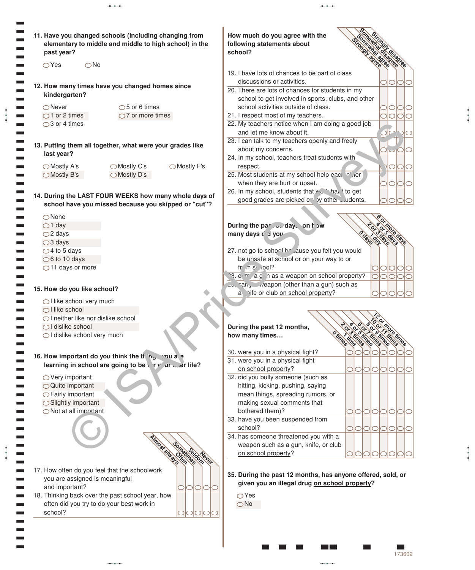| 11. Have you changed schools (including changing from<br>elementary to middle and middle to high school) in the<br>past year? | How much do you agree with the<br>following statements about<br>school?             |                                |  |
|-------------------------------------------------------------------------------------------------------------------------------|-------------------------------------------------------------------------------------|--------------------------------|--|
| $\bigcirc$ Yes<br>$\bigcirc$ No                                                                                               |                                                                                     | <b>IOree</b>                   |  |
|                                                                                                                               | 19. I have lots of chances to be part of class                                      |                                |  |
| 12. How many times have you changed homes since                                                                               | discussions or activities.                                                          | ЮIС                            |  |
| kindergarten?                                                                                                                 | 20. There are lots of chances for students in my                                    |                                |  |
|                                                                                                                               | school to get involved in sports, clubs, and other                                  |                                |  |
| $\bigcirc$ 5 or 6 times<br>$\bigcirc$ Never                                                                                   | school activities outside of class.                                                 |                                |  |
| $\bigcirc$ 1 or 2 times<br>$\bigcirc$ 7 or more times                                                                         | 21. I respect most of my teachers.                                                  | 10<br>O                        |  |
| $\bigcirc$ 3 or 4 times                                                                                                       | 22. My teachers notice when I am doing a good job                                   |                                |  |
|                                                                                                                               | and let me know about it.                                                           | S                              |  |
| 13. Putting them all together, what were your grades like                                                                     | 23. I can talk to my teachers openly and freely                                     |                                |  |
| last year?                                                                                                                    | about my concerns.                                                                  | $O_{\mathsf{I}}\cup\mathsf{I}$ |  |
|                                                                                                                               | 24. In my school, teachers treat students with                                      |                                |  |
| ◯ Mostly F's<br>◯ Mostly A's<br>◯ Mostly C's<br>◯ Mostly B's<br>◯ Mostly D's                                                  | respect.<br>25. Most students at my school help eacl of ler                         | <b>NOO</b>                     |  |
|                                                                                                                               | when they are hurt or upset.                                                        |                                |  |
|                                                                                                                               | 26. In my school, students that we have to get                                      | IOIOI<br>っ                     |  |
| 14. During the LAST FOUR WEEKS how many whole days of                                                                         | good grades are picked only other cludents.                                         |                                |  |
| school have you missed because you skipped or "cut"?                                                                          |                                                                                     |                                |  |
| $\bigcirc$ None                                                                                                               |                                                                                     |                                |  |
| $\bigcirc$ 1 day                                                                                                              | During the part Juday. on how                                                       |                                |  |
| $\bigcirc$ 2 days                                                                                                             | many days d' d you                                                                  |                                |  |
| $\bigcirc$ 3 days                                                                                                             |                                                                                     |                                |  |
| $\bigcirc$ 4 to 5 days                                                                                                        | 27. not go to school be ause you felt you would                                     |                                |  |
| $\bigcirc$ 6 to 10 days                                                                                                       | be unsafe at school or on your way to or                                            |                                |  |
| ◯11 days or more                                                                                                              | $fr$ in $s$ iool?                                                                   |                                |  |
|                                                                                                                               | 8. c. r ag n as a weapon on school property?                                        | $\circ$<br>IO                  |  |
| 15. How do you like school?                                                                                                   | Co. ran, weapon (other than a gun) such as                                          |                                |  |
|                                                                                                                               | a vife or club on school property?                                                  |                                |  |
| ◯ I like school very much                                                                                                     |                                                                                     |                                |  |
| $\bigcap$ like school<br>$\bigcirc$ I neither like nor dislike school                                                         |                                                                                     |                                |  |
| ◯ I dislike school                                                                                                            |                                                                                     |                                |  |
| ○I dislike school very much                                                                                                   | POX<br>During the past 12 months,<br>$\mathbf{o}$<br>$\mathbf{o}$<br>how many times |                                |  |
|                                                                                                                               |                                                                                     |                                |  |
|                                                                                                                               | 30. were you in a physical fight?                                                   |                                |  |
| 16. How important do you think the thing<br><b>POU a.</b>                                                                     | 31. were you in a physical fight                                                    |                                |  |
| learning in school are going to be in the later life?                                                                         | on school property?                                                                 | 1010101010                     |  |
|                                                                                                                               | 32. did you bully someone (such as                                                  |                                |  |
|                                                                                                                               |                                                                                     |                                |  |
| $\bigcirc$ Very important<br>○ Quite important                                                                                | hitting, kicking, pushing, saying                                                   |                                |  |
| ◯ Fairly important                                                                                                            | mean things, spreading rumors, or                                                   |                                |  |
| ◯ Slightly important                                                                                                          | making sexual comments that                                                         |                                |  |
| ◯ Not at all important                                                                                                        | bothered them)?<br>OIOIOIO                                                          | IО                             |  |
|                                                                                                                               | 33. have you been suspended from                                                    |                                |  |
|                                                                                                                               | school?                                                                             | 0 0 0 0 0 0                    |  |
|                                                                                                                               | 34. has someone threatened you with a                                               |                                |  |
|                                                                                                                               | weapon such as a gun, knife, or club                                                |                                |  |
|                                                                                                                               | on school property?                                                                 |                                |  |
| loon<br>imes                                                                                                                  |                                                                                     |                                |  |
|                                                                                                                               | 35. During the past 12 months, has anyone offered, sold, or                         |                                |  |
| you are assigned is meaningful                                                                                                | given you an illegal drug on school property?                                       |                                |  |
| and important?<br>O                                                                                                           |                                                                                     |                                |  |
| 17. How often do you feel that the schoolwork<br>18. Thinking back over the past school year, how                             | $\bigcirc$ Yes                                                                      |                                |  |
| often did you try to do your best work in<br>school?                                                                          | $\bigcirc$ No                                                                       |                                |  |

| <b>SOMETHING STRAIGHT</b><br>How much do you agree with the<br><b>Romanda Labosis</b><br>Strongli edite<br>following statements about<br>school? | <b>Strongly disadree</b> |             |  |
|--------------------------------------------------------------------------------------------------------------------------------------------------|--------------------------|-------------|--|
| 19. I have lots of chances to be part of class                                                                                                   |                          |             |  |
| discussions or activities.                                                                                                                       |                          |             |  |
| 20. There are lots of chances for students in my                                                                                                 |                          |             |  |
| school to get involved in sports, clubs, and other                                                                                               |                          |             |  |
| school activities outside of class.                                                                                                              |                          |             |  |
| 21. I respect most of my teachers.                                                                                                               |                          |             |  |
| 22. My teachers notice when I am doing a good job                                                                                                |                          |             |  |
| and let me know about it.                                                                                                                        |                          |             |  |
| 23. I can talk to my teachers openly and freely                                                                                                  |                          |             |  |
| about my concerns.                                                                                                                               |                          |             |  |
| 24. In my school, teachers treat students with                                                                                                   |                          |             |  |
| respect.                                                                                                                                         |                          |             |  |
| 25. Most students at my school help eacl of ler                                                                                                  |                          |             |  |
| when they are hurt or upset.                                                                                                                     |                          |             |  |
| 26. In my school, students that we had to get                                                                                                    |                          |             |  |
| good grades are picked only other cludents.                                                                                                      |                          |             |  |
| During the part Julian day. on how<br>Odals<br>many days d' d you                                                                                | 0150015<br>OUNT          | : more days |  |

aaba

aaba

### lne pa ays did you

aabaada aabaa aabaa aabaa aabaa aabaa aabaa aabaa aabaa aabaa aabaa aabaa aabaa aabaa aabaa aabaa aabaa aabaa<br>aabaa aabaa aabaa aabaa aabaa aabaa aabaa aabaa aabaa aabaa aabaa aabaa aabaa aabaa aabaa aabaa aabaa aabaa aa

| 27. not go to school be ause you felt you would |  |  |
|-------------------------------------------------|--|--|
| be unsafe at school or on your way to or        |  |  |
|                                                 |  |  |
| 19. c. r a g h as a weapon on school property?  |  |  |
| $\sim$ and veapon (other than a gun) such as    |  |  |
| a vife or club on school property?              |  |  |

### **During the past 12 months, how many times…**

| During the past 12 months,            |                             |          |     |            |            |  |
|---------------------------------------|-----------------------------|----------|-----|------------|------------|--|
| how many times                        |                             |          |     |            | more limes |  |
|                                       | $\mathcal{L}_{\mathcal{P}}$ | $\phi^0$ | 789 | <b>POS</b> |            |  |
| 30. were you in a physical fight?     |                             |          |     |            |            |  |
| 31. were you in a physical fight      |                             |          |     |            |            |  |
| on school property?                   |                             |          |     |            |            |  |
| 32. did you bully someone (such as    |                             |          |     |            |            |  |
| hitting, kicking, pushing, saying     |                             |          |     |            |            |  |
| mean things, spreading rumors, or     |                             |          |     |            |            |  |
| making sexual comments that           |                             |          |     |            |            |  |
| bothered them)?                       |                             |          |     |            |            |  |
| 33. have you been suspended from      |                             |          |     |            |            |  |
| school?                               |                             |          |     |            |            |  |
| 34. has someone threatened you with a |                             |          |     |            |            |  |
| weapon such as a gun, knife, or club  |                             |          |     |            |            |  |
| on school property?                   |                             |          |     |            |            |  |

# **35. During the past 12 months, has anyone offered, sold, or given you an illegal drug on school property?**

173602

 $\sim$ 

**The State** 

( (

aaba

aaba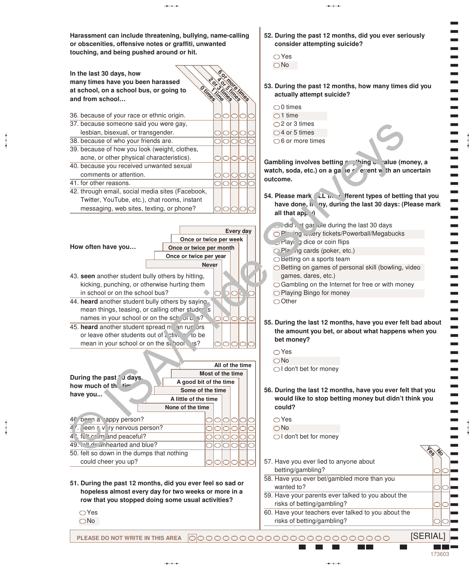**Harassment can include threatening, bullying, name-calling or obscenities, offensive notes or graffiti, unwanted touching, and being pushed around or hit.**



- **51. During the past 12 months, did you ever feel so sad or hopeless almost every day for two weeks or more in a row that you stopped doing some usual activities?**
	- Yes

aaba

aaba

No

- **52. During the past 12 months, did you ever seriously consider attempting suicide?**
	- Yes  $\bigcirc$ No

aabaada aabaada aabaada aabaada aabaada aabaada aabaada aabaada aabaada aabaada aabaada aabaada aabaada aabaad<br>aabaada aabaada aabaada aabaada aabaada aabaada aabaada aabaada aabaada aabaada aabaada aabaada aabaada aabaad

- **53. During the past 12 months, how many times did you actually attempt suicide?**
	- $\bigcirc$ 0 times  $\bigcirc$  1 time  $\bigcirc$  2 or 3 times  $\bigcirc$  4 or 5 times  $\bigcirc$ 6 or more times

Gambling involves betting *p* whing **callude (money, a** watch, soda, etc.) on a ga**nt expandite or the unity of the uncertain outcome.**

- **54. Please mark ALL the different types of betting that you** have done, in any, during the last 30 days: (Please mark **all that ap<sub>p</sub>**  $\theta$ 
	- $\Box$  did not gamble during the last 30 days
	- OPI<sup>-ing</sup> is the tickets/Powerball/Megabucks
	- $P$ laying dice or coin flips
	- **Playing cards (poker, etc.)**
	- Betting on a sports team
	- $\bigcirc$  Betting on games of personal skill (bowling, video games, dares, etc.)
	- ◯ Gambling on the Internet for free or with money
	- Playing Bingo for money
	- Other
- **55. During the last 12 months, have you ever felt bad about the amount you bet, or about what happens when you bet money?**

Yes No I don't bet for money

- **56. During the last 12 months, have you ever felt that you would like to stop betting money but didn't think you could?**
	- Yes
	- No
	- $\bigcirc$ I don't bet for money
- 57. Have you ever lied to anyone about betting/gambling?
- 58. Have you ever bet/gambled more than you wanted to?
- 59. Have your parents ever talked to you about the risks of betting/gambling?
- 60. Have your teachers ever talked to you about the risks of betting/gambling?

**PLEASE DO NOT WRITE IN THIS AREA** [SERIAL]

) ) ) ) ) ) ) ) ) ) ) ) ) ) ) ) ) ) ) ) ) ) ) ) ) ) ) ) ) ) ) ) ) ) ) ) ) ) ) ) ) ) ) ) ) ) ) ) ) ) ) ) ) ) ) ) ) ) ) )

aaba

173603

) ) ) aaba

**Yes No**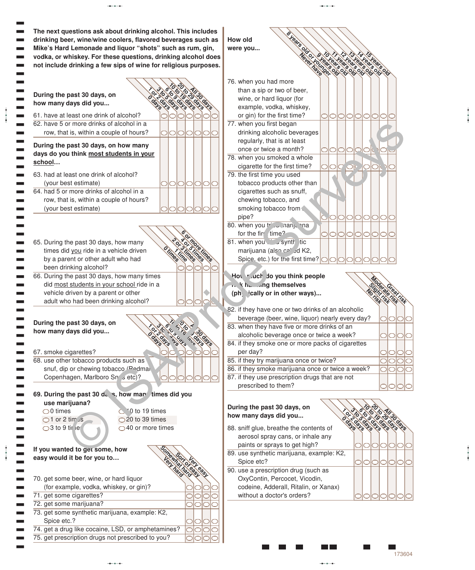

aaba

aaba

aabaada aabaa aabaa aabaa aabaa aabaa aabaa aabaa aabaa aabaa aabaa aabaa aabaa aabaa aabaa aabaa aabaa aabaa<br>aabaa aabaa aabaa aabaa aabaa aabaa aabaa aabaa aabaa aabaa aabaa aabaa aabaa aabaa aabaa aabaa aabaa aabaa aa

aaba

aaba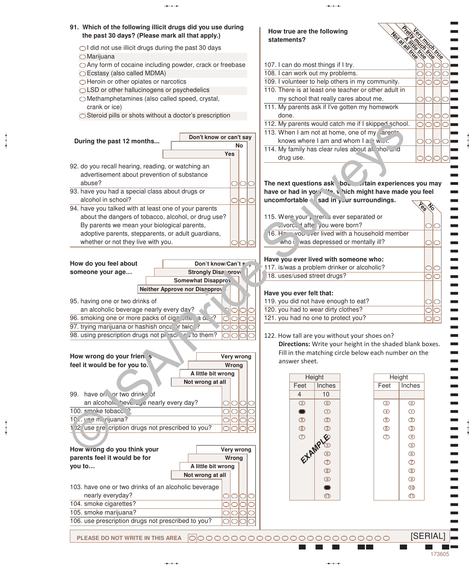

aaba

aaba